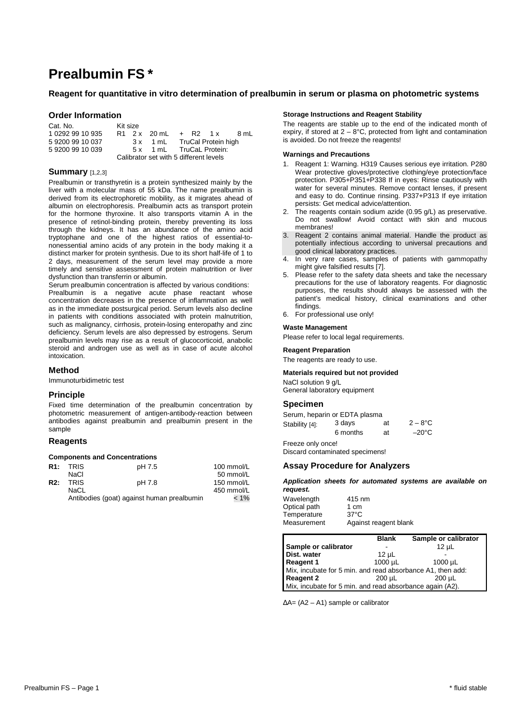# **Prealbumin FS \***

# **Reagent for quantitative in vitro determination of prealbumin in serum or plasma on photometric systems**

# **Order Information**

| Cat. No.                               | Kit size |  |                              |  |  |
|----------------------------------------|----------|--|------------------------------|--|--|
| 1 0292 99 10 935                       |          |  | $R1$ 2x 20 mL + R2 1x 8 mL   |  |  |
| 592009910037                           |          |  | 3 x 1 mL TruCal Protein high |  |  |
| 5 9200 99 10 039                       |          |  | 5 x 1 mL TruCaL Protein:     |  |  |
| Calibrator set with 5 different levels |          |  |                              |  |  |

# **Summary** [1,2,3]

Prealbumin or transthyretin is a protein synthesized mainly by the liver with a molecular mass of 55 kDa. The name prealbumin is derived from its electrophoretic mobility, as it migrates ahead of albumin on electrophoresis. Prealbumin acts as transport protein for the hormone thyroxine. It also transports vitamin A in the presence of retinol-binding protein, thereby preventing its loss through the kidneys. It has an abundance of the amino acid tryptophane and one of the highest ratios of essential-tononessential amino acids of any protein in the body making it a distinct marker for protein synthesis. Due to its short half-life of 1 to 2 days, measurement of the serum level may provide a more timely and sensitive assessment of protein malnutrition or liver dysfunction than transferrin or albumin.

Serum prealbumin concentration is affected by various conditions: Prealbumin is a negative acute phase reactant whose concentration decreases in the presence of inflammation as well as in the immediate postsurgical period. Serum levels also decline in patients with conditions associated with protein malnutrition, such as malignancy, cirrhosis, protein-losing enteropathy and zinc deficiency. Serum levels are also depressed by estrogens. Serum prealbumin levels may rise as a result of glucocorticoid, anabolic steroid and androgen use as well as in case of acute alcohol intoxication.

# **Method**

Immunoturbidimetric test

# **Principle**

Fixed time determination of the prealbumin concentration by photometric measurement of antigen-antibody-reaction between antibodies against prealbumin and prealbumin present in the sample

# **Reagents**

#### **Components and Concentrations**

|     | R <sub>1</sub> : TRIS | pH 7.5                                     | 100 mmol/L |
|-----|-----------------------|--------------------------------------------|------------|
|     | NaCl                  |                                            | 50 mmol/L  |
| R2: | <b>TRIS</b>           | pH 7.8                                     | 150 mmol/L |
|     | NaCL                  |                                            | 450 mmol/L |
|     |                       | Antibodies (goat) against human prealbumin | $< 1\%$    |

#### **Storage Instructions and Reagent Stability**

The reagents are stable up to the end of the indicated month of expiry, if stored at  $2 - 8$ °C, protected from light and contamination is avoided. Do not freeze the reagents!

# **Warnings and Precautions**

- 1. Reagent 1: Warning. H319 Causes serious eye irritation. P280 Wear protective gloves/protective clothing/eye protection/face protection. P305+P351+P338 If in eyes: Rinse cautiously with water for several minutes. Remove contact lenses, if present and easy to do. Continue rinsing. P337+P313 If eye irritation persists: Get medical advice/attention.
- 2. The reagents contain sodium azide (0.95 g/L) as preservative. Do not swallow! Avoid contact with skin and mucous membranes!
- 3. Reagent 2 contains animal material. Handle the product as potentially infectious according to universal precautions and good clinical laboratory practices.
- 4. In very rare cases, samples of patients with gammopathy might give falsified results [7].
- 5. Please refer to the safety data sheets and take the necessary precautions for the use of laboratory reagents. For diagnostic purposes, the results should always be assessed with the patient's medical history, clinical examinations and other findings.
- 6. For professional use only!

#### **Waste Management**

Please refer to local legal requirements.

#### **Reagent Preparation**

The reagents are ready to use.

#### **Materials required but not provided**

NaCl solution 9 g/L General laboratory equipment

## **Specimen**

| Serum, heparin or EDTA plasma |          |    |                  |
|-------------------------------|----------|----|------------------|
| Stability [4]:                | 3 davs   | at | $2 - 8^{\circ}C$ |
|                               | 6 months | at | $-20^{\circ}$ C  |

Freeze only once!

Discard contaminated specimens!

# **Assay Procedure for Analyzers**

**Application sheets for automated systems are available on request.** 

| Wavelength   | 415 nm                |
|--------------|-----------------------|
| Optical path | 1 cm                  |
| Temperature  | $37^{\circ}$ C        |
| Measurement  | Against reagent blank |

|                                                            | <b>Blank</b> | Sample or calibrator |
|------------------------------------------------------------|--------------|----------------------|
| Sample or calibrator                                       |              | $12$ uL              |
| Dist. water                                                | $12 \mu L$   |                      |
| Reagent 1                                                  | 1000 µL      | $1000 \mu L$         |
| Mix, incubate for 5 min. and read absorbance A1, then add: |              |                      |
| Reagent 2                                                  | 200 uL       | 200 uL               |
| Mix, incubate for 5 min. and read absorbance again (A2).   |              |                      |

∆A= (A2 – A1) sample or calibrator